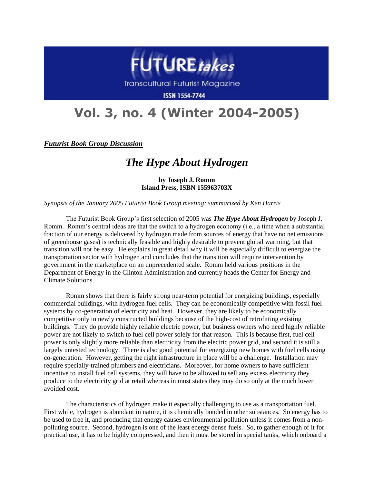

Transcultural Futurist Magazine

**ISSN 1554-7744** 

## **Vol. 3, no. 4 (Winter 2004-2005)**

*Futurist Book Group Discussion*

## *The Hype About Hydrogen*

**by Joseph J. Romm Island Press, ISBN 155963703X**

*Synopsis of the January 2005 Futurist Book Group meeting; summarized by Ken Harris*

The Futurist Book Group's first selection of 2005 was *The Hype About Hydrogen* by Joseph J. Romm. Romm's central ideas are that the switch to a hydrogen economy (i.e., a time when a substantial fraction of our energy is delivered by hydrogen made from sources of energy that have no net emissions of greenhouse gases) is technically feasible and highly desirable to prevent global warming, but that transition will not be easy. He explains in great detail why it will be especially difficult to energize the transportation sector with hydrogen and concludes that the transition will require intervention by government in the marketplace on an unprecedented scale. Romm held various positions in the Department of Energy in the Clinton Administration and currently heads the Center for Energy and Climate Solutions.

Romm shows that there is fairly strong near-term potential for energizing buildings, especially commercial buildings, with hydrogen fuel cells. They can be economically competitive with fossil fuel systems by co-generation of electricity and heat. However, they are likely to be economically competitive only in newly constructed buildings because of the high-cost of retrofitting existing buildings. They do provide highly reliable electric power, but business owners who need highly reliable power are not likely to switch to fuel cell power solely for that reason. This is because first, fuel cell power is only slightly more reliable than electricity from the electric power grid, and second it is still a largely untested technology. There is also good potential for energizing new homes with fuel cells using co-generation. However, getting the right infrastructure in place will be a challenge. Installation may require specially-trained plumbers and electricians. Moreover, for home owners to have sufficient incentive to install fuel cell systems, they will have to be allowed to sell any excess electricity they produce to the electricity grid at retail whereas in most states they may do so only at the much lower avoided cost.

The characteristics of hydrogen make it especially challenging to use as a transportation fuel. First while, hydrogen is abundant in nature, it is chemically bonded in other substances. So energy has to be used to free it, and producing that energy causes environmental pollution unless it comes from a nonpolluting source. Second, hydrogen is one of the least energy dense fuels. So, to gather enough of it for practical use, it has to be highly compressed, and then it must be stored in special tanks, which onboard a